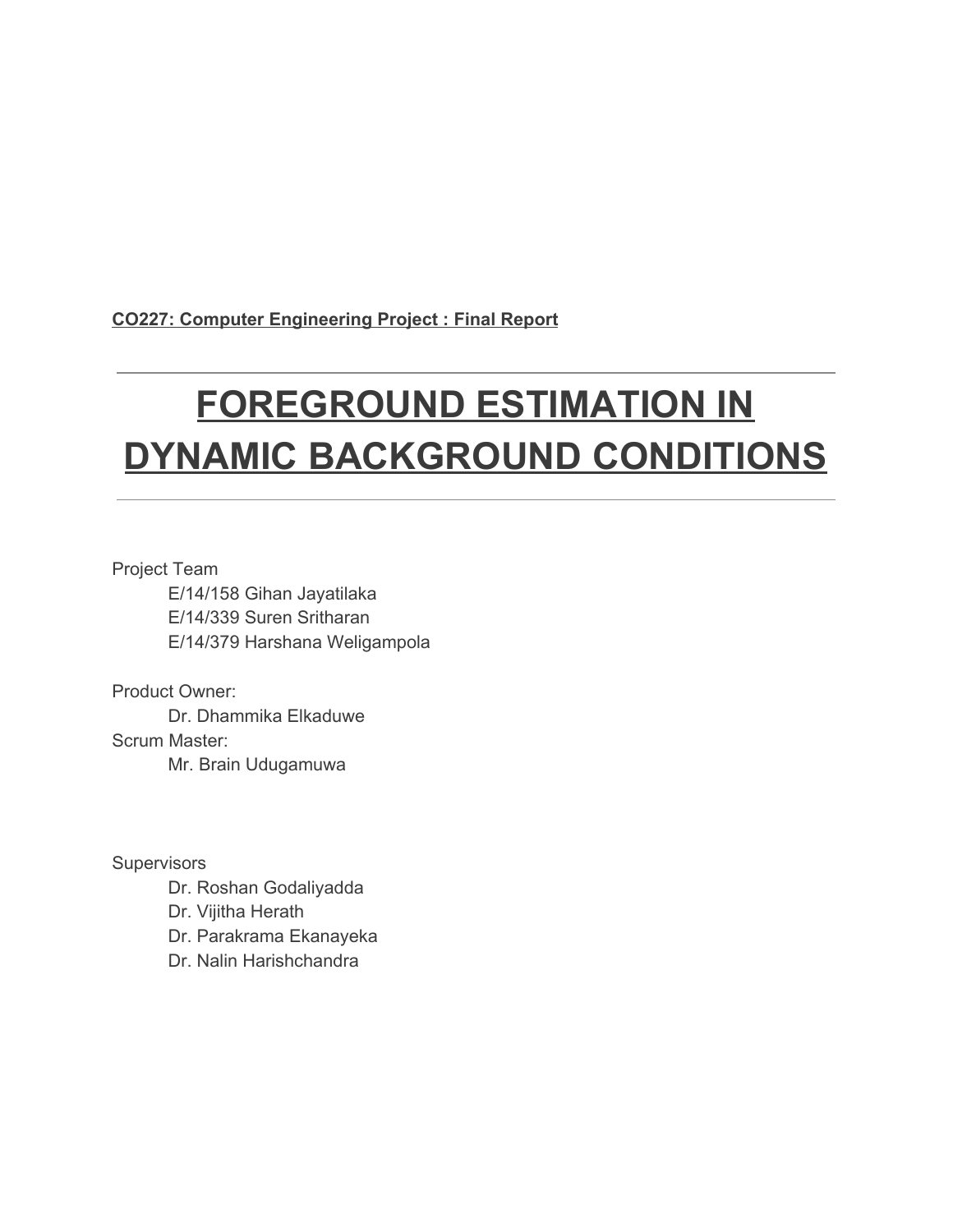**CO227: Computer Engineering Project : Final Report**

# **FOREGROUND ESTIMATION IN DYNAMIC BACKGROUND CONDITIONS**

Project Team E/14/158 Gihan Jayatilaka E/14/339 Suren Sritharan E/14/379 Harshana Weligampola

Product Owner: Dr. Dhammika Elkaduwe Scrum Master: Mr. Brain Udugamuwa

**Supervisors** 

Dr. Roshan Godaliyadda

Dr. Vijitha Herath

Dr. Parakrama Ekanayeka

Dr. Nalin Harishchandra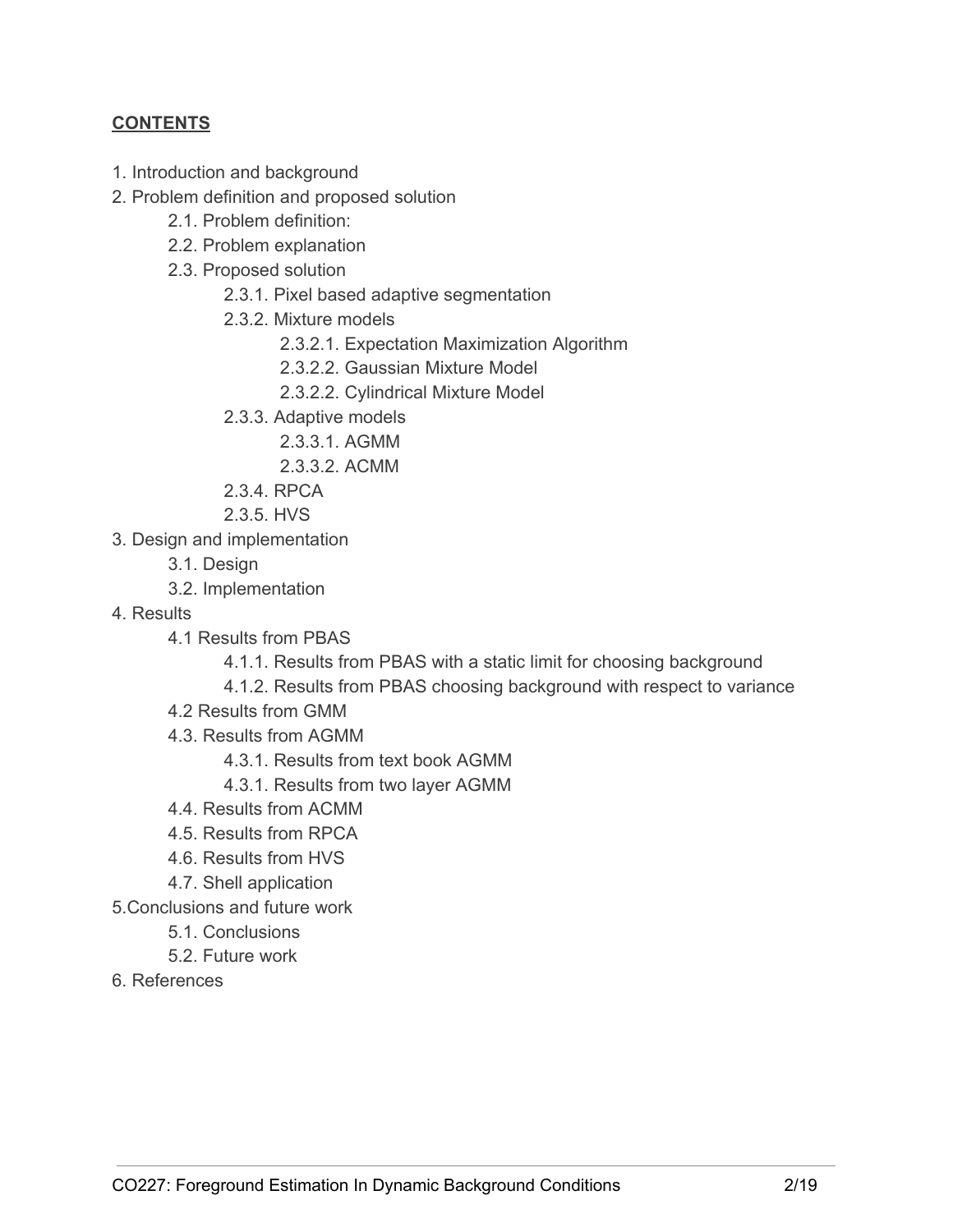# **CONTENTS**

- 1. Introduction and background
- 2. Problem definition and proposed solution
	- 2.1. Problem definition:
	- 2.2. Problem explanation
	- 2.3. Proposed solution
		- 2.3.1. Pixel based adaptive segmentation
		- 2.3.2. Mixture models
			- 2.3.2.1. Expectation Maximization Algorithm
			- 2.3.2.2. Gaussian Mixture Model
			- 2.3.2.2. Cylindrical Mixture Model
		- 2.3.3. Adaptive models
			- 2.3.3.1. AGMM
			- 2.3.3.2. ACMM
		- 2.3.4. RPCA
		- 2.3.5. HVS
- 3. Design and implementation
	- 3.1. Design
	- 3.2. Implementation
- 4. Results
	- 4.1 Results from PBAS
		- 4.1.1. Results from PBAS with a static limit for choosing background
		- 4.1.2. Results from PBAS choosing background with respect to variance
	- 4.2 Results from GMM
	- 4.3. Results from AGMM
		- 4.3.1. Results from text book AGMM
		- 4.3.1. Results from two layer AGMM
	- 4.4. Results from ACMM
	- 4.5. Results from RPCA
	- 4.6. Results from HVS
	- 4.7. Shell application
- 5.Conclusions and future work
	- 5.1. Conclusions
	- 5.2. Future work
- 6. References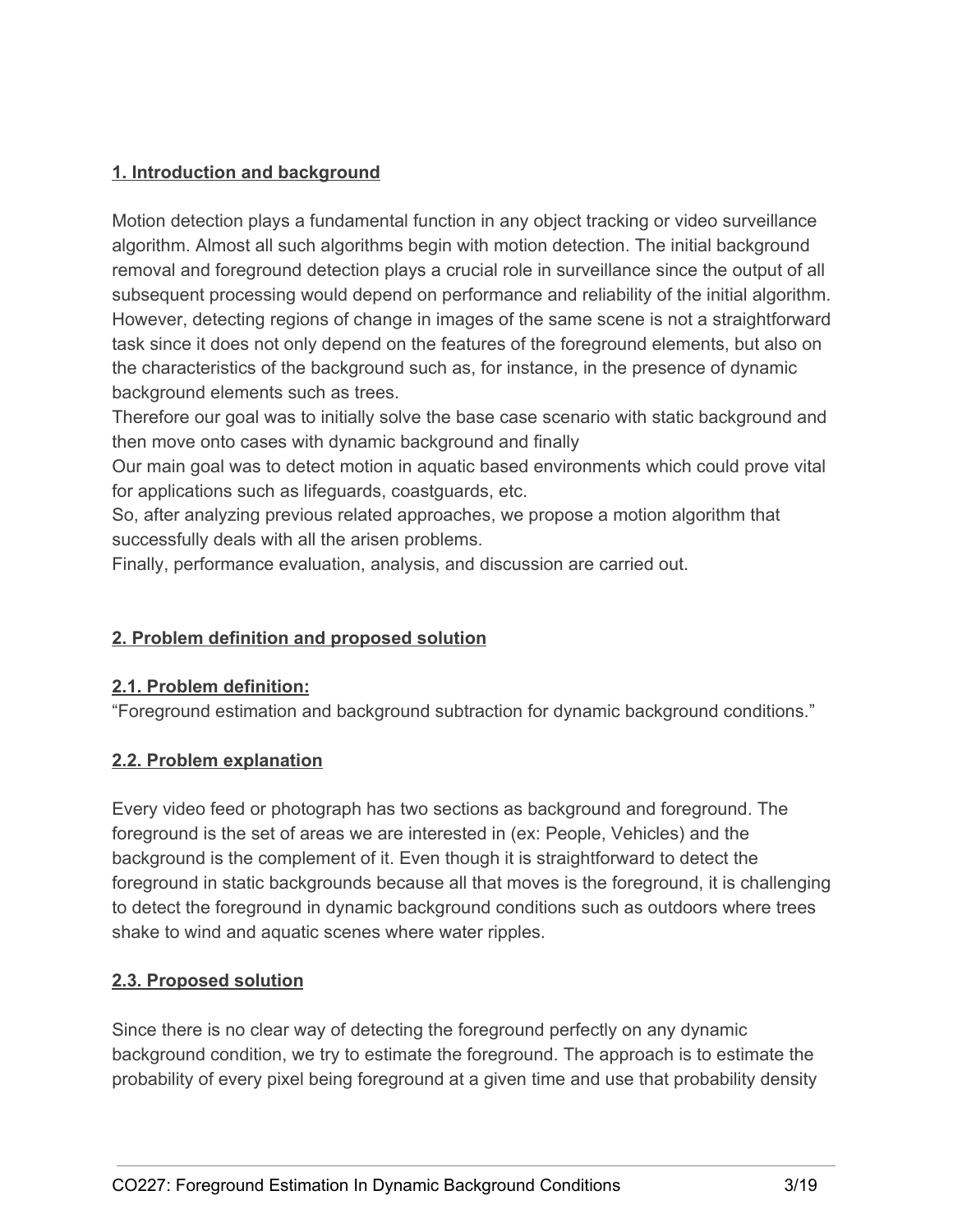# **1. Introduction and background**

Motion detection plays a fundamental function in any object tracking or video surveillance algorithm. Almost all such algorithms begin with motion detection. The initial background removal and foreground detection plays a crucial role in surveillance since the output of all subsequent processing would depend on performance and reliability of the initial algorithm. However, detecting regions of change in images of the same scene is not a straightforward task since it does not only depend on the features of the foreground elements, but also on the characteristics of the background such as, for instance, in the presence of dynamic background elements such as trees.

Therefore our goal was to initially solve the base case scenario with static background and then move onto cases with dynamic background and finally

Our main goal was to detect motion in aquatic based environments which could prove vital for applications such as lifeguards, coastguards, etc.

So, after analyzing previous related approaches, we propose a motion algorithm that successfully deals with all the arisen problems.

Finally, performance evaluation, analysis, and discussion are carried out.

## **2. Problem definition and proposed solution**

## **2.1. Problem definition:**

"Foreground estimation and background subtraction for dynamic background conditions."

## **2.2. Problem explanation**

Every video feed or photograph has two sections as background and foreground. The foreground is the set of areas we are interested in (ex: People, Vehicles) and the background is the complement of it. Even though it is straightforward to detect the foreground in static backgrounds because all that moves is the foreground, it is challenging to detect the foreground in dynamic background conditions such as outdoors where trees shake to wind and aquatic scenes where water ripples.

## **2.3. Proposed solution**

Since there is no clear way of detecting the foreground perfectly on any dynamic background condition, we try to estimate the foreground. The approach is to estimate the probability of every pixel being foreground at a given time and use that probability density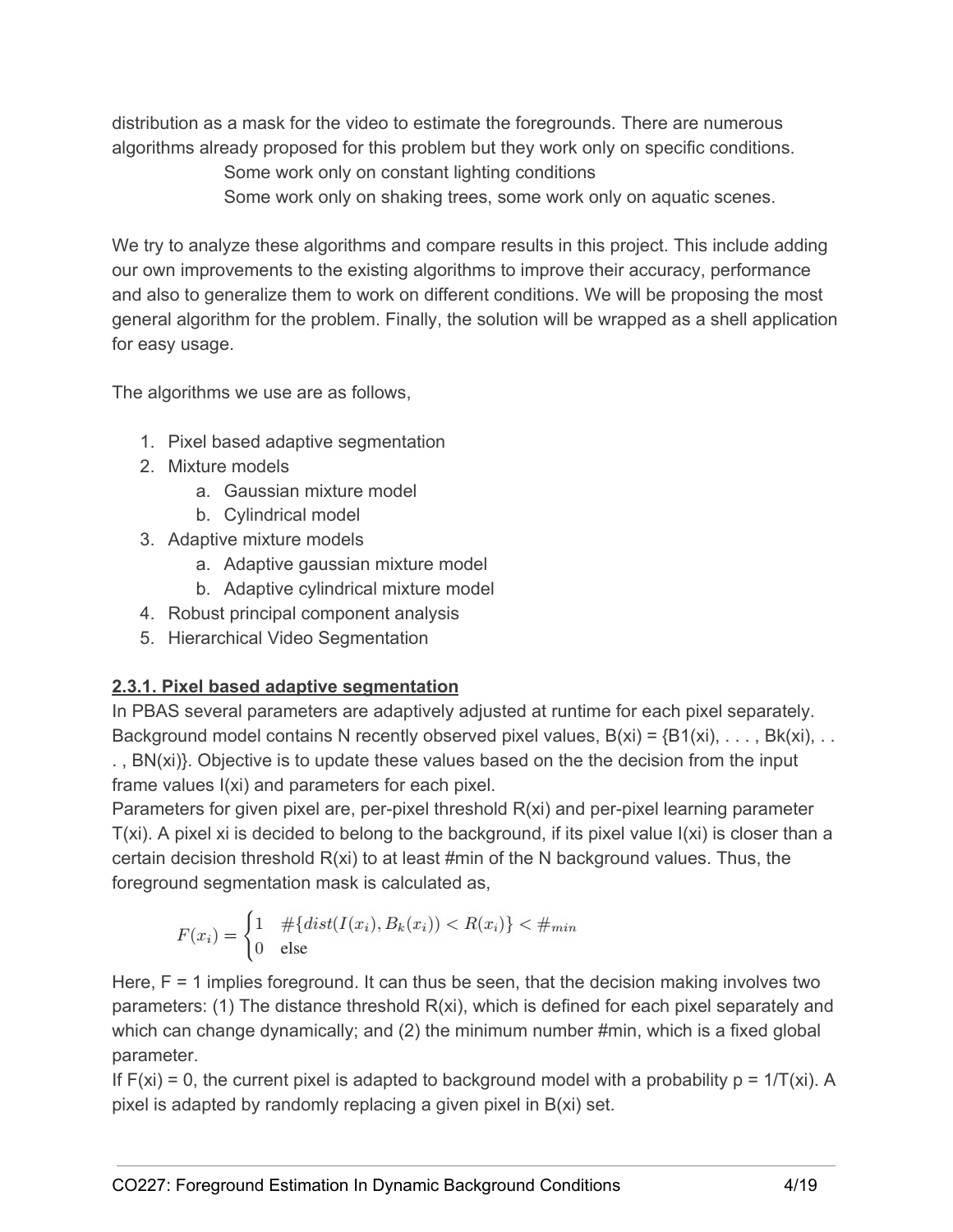distribution as a mask for the video to estimate the foregrounds. There are numerous algorithms already proposed for this problem but they work only on specific conditions. Some work only on constant lighting conditions Some work only on shaking trees, some work only on aquatic scenes.

We try to analyze these algorithms and compare results in this project. This include adding our own improvements to the existing algorithms to improve their accuracy, performance and also to generalize them to work on different conditions. We will be proposing the most general algorithm for the problem. Finally, the solution will be wrapped as a shell application for easy usage.

The algorithms we use are as follows,

- 1. Pixel based adaptive segmentation
- 2. Mixture models
	- a. Gaussian mixture model
	- b. Cylindrical model
- 3. Adaptive mixture models
	- a. Adaptive gaussian mixture model
	- b. Adaptive cylindrical mixture model
- 4. Robust principal component analysis
- 5. Hierarchical Video Segmentation

# **2.3.1. Pixel based adaptive segmentation**

In PBAS several parameters are adaptively adjusted at runtime for each pixel separately. Background model contains N recently observed pixel values,  $B(xi) = {B1(xi), \ldots, Bk(xi), \ldots}$ . , BN(xi)}. Objective is to update these values based on the the decision from the input frame values I(xi) and parameters for each pixel.

Parameters for given pixel are, per-pixel threshold R(xi) and per-pixel learning parameter T(xi). A pixel xi is decided to belong to the background, if its pixel value I(xi) is closer than a certain decision threshold R(xi) to at least #min of the N background values. Thus, the foreground segmentation mask is calculated as,

$$
F(x_i) = \begin{cases} 1 & \# \{dist(I(x_i), B_k(x_i)) < R(x_i) \} < \#_{min} \\ 0 & \text{else} \end{cases}
$$

Here, F = 1 implies foreground. It can thus be seen, that the decision making involves two parameters: (1) The distance threshold R(xi), which is defined for each pixel separately and which can change dynamically; and (2) the minimum number #min, which is a fixed global parameter.

If  $F(xi) = 0$ , the current pixel is adapted to background model with a probability  $p = 1/T(xi)$ . A pixel is adapted by randomly replacing a given pixel in B(xi) set.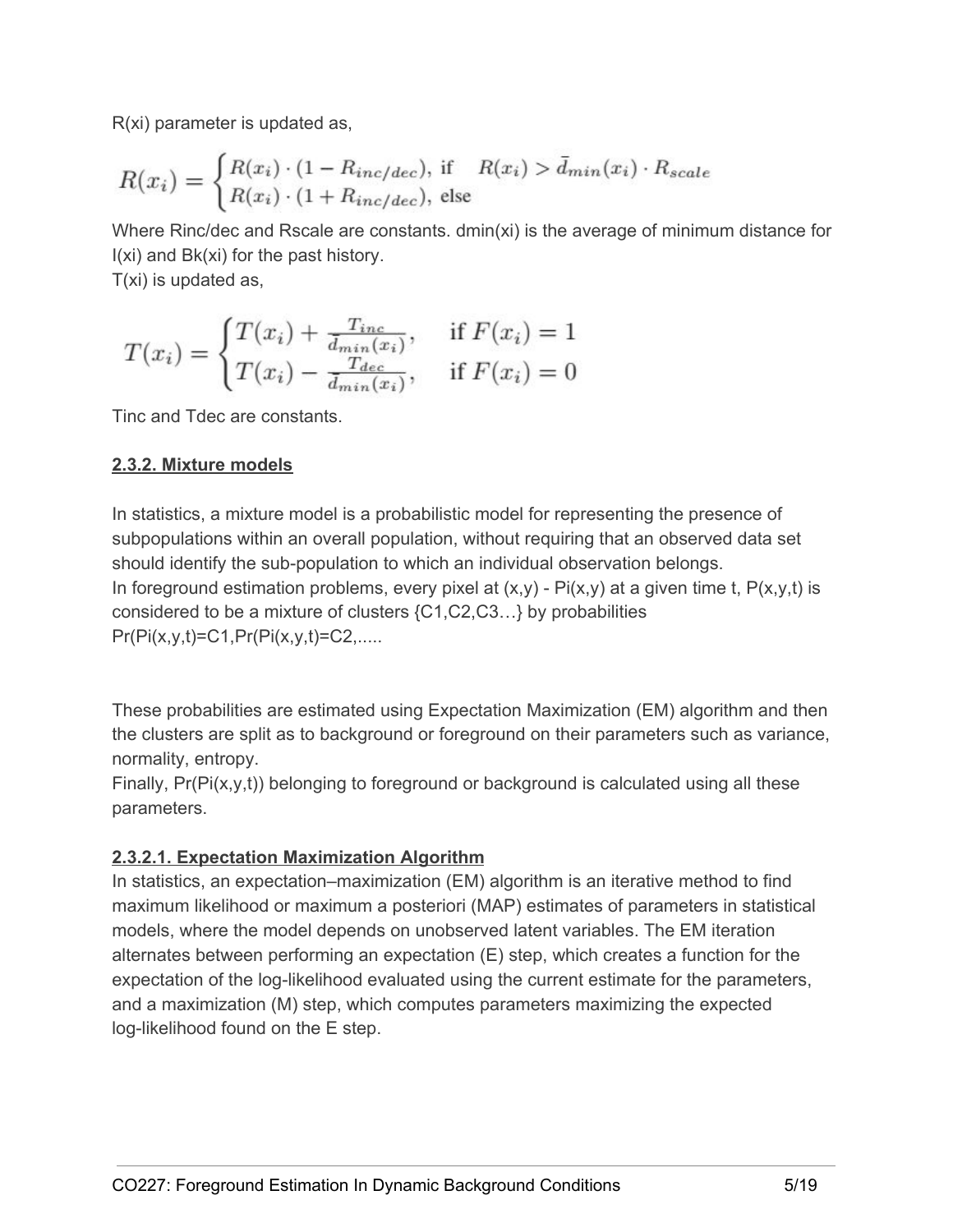R(xi) parameter is updated as,

$$
R(x_i) = \begin{cases} R(x_i) \cdot (1 - R_{inc/dec}), & \text{if } R(x_i) > \bar{d}_{min}(x_i) \cdot R_{scale} \\ R(x_i) \cdot (1 + R_{inc/dec}), & \text{else} \end{cases}
$$

Where Rinc/dec and Rscale are constants. dmin(xi) is the average of minimum distance for I(xi) and Bk(xi) for the past history.

T(xi) is updated as,

$$
T(x_i) = \begin{cases} T(x_i) + \frac{T_{inc}}{\bar{d}_{min}(x_i)}, & \text{if } F(x_i) = 1\\ T(x_i) - \frac{T_{dec}}{\bar{d}_{min}(x_i)}, & \text{if } F(x_i) = 0 \end{cases}
$$

Tinc and Tdec are constants.

# **2.3.2. Mixture models**

In statistics, a mixture model is a probabilistic model for representing the presence of subpopulations within an overall population, without requiring that an observed data set should identify the sub-population to which an individual observation belongs. In foreground estimation problems, every pixel at  $(x,y)$  -  $Pi(x,y)$  at a given time t,  $P(x,y,t)$  is considered to be a mixture of clusters {C1,C2,C3…} by probabilities  $Pr(Pi(x,y,t)=C1,Pr(Pi(x,y,t)=C2,......$ 

These probabilities are estimated using Expectation Maximization (EM) algorithm and then the clusters are split as to background or foreground on their parameters such as variance, normality, entropy.

Finally,  $Pr(Pi(x,y,t))$  belonging to foreground or background is calculated using all these parameters.

# **2.3.2.1. Expectation Maximization Algorithm**

In statistics, an expectation–maximization (EM) algorithm is an iterative method to find maximum likelihood or maximum a posteriori (MAP) estimates of parameters in statistical models, where the model depends on unobserved latent variables. The EM iteration alternates between performing an expectation (E) step, which creates a function for the expectation of the log-likelihood evaluated using the current estimate for the parameters, and a maximization (M) step, which computes parameters maximizing the expected log-likelihood found on the E step.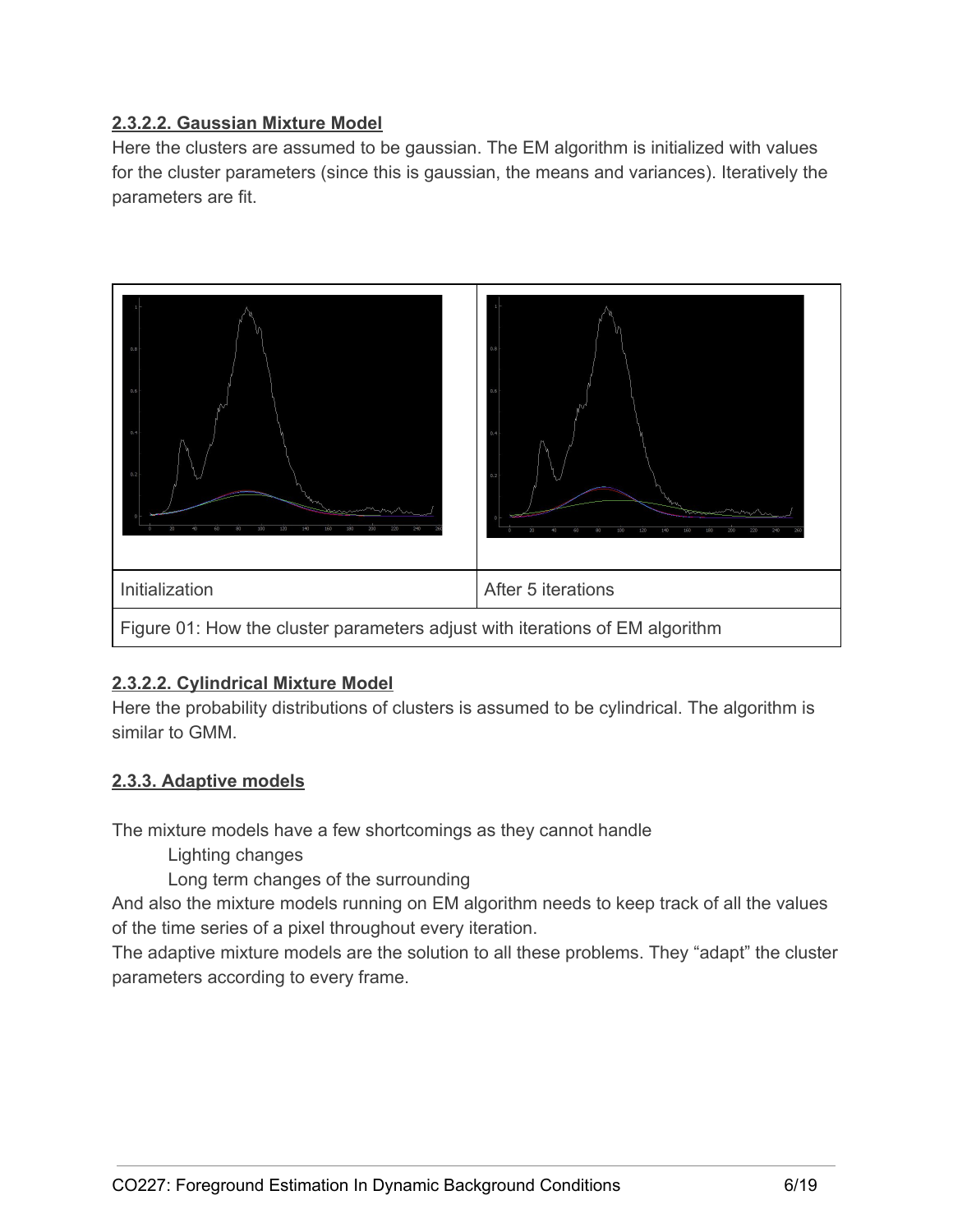# **2.3.2.2. Gaussian Mixture Model**

Here the clusters are assumed to be gaussian. The EM algorithm is initialized with values for the cluster parameters (since this is gaussian, the means and variances). Iteratively the parameters are fit.



# **2.3.2.2. Cylindrical Mixture Model**

Here the probability distributions of clusters is assumed to be cylindrical. The algorithm is similar to GMM.

# **2.3.3. Adaptive models**

The mixture models have a few shortcomings as they cannot handle

Lighting changes

Long term changes of the surrounding

And also the mixture models running on EM algorithm needs to keep track of all the values of the time series of a pixel throughout every iteration.

The adaptive mixture models are the solution to all these problems. They "adapt" the cluster parameters according to every frame.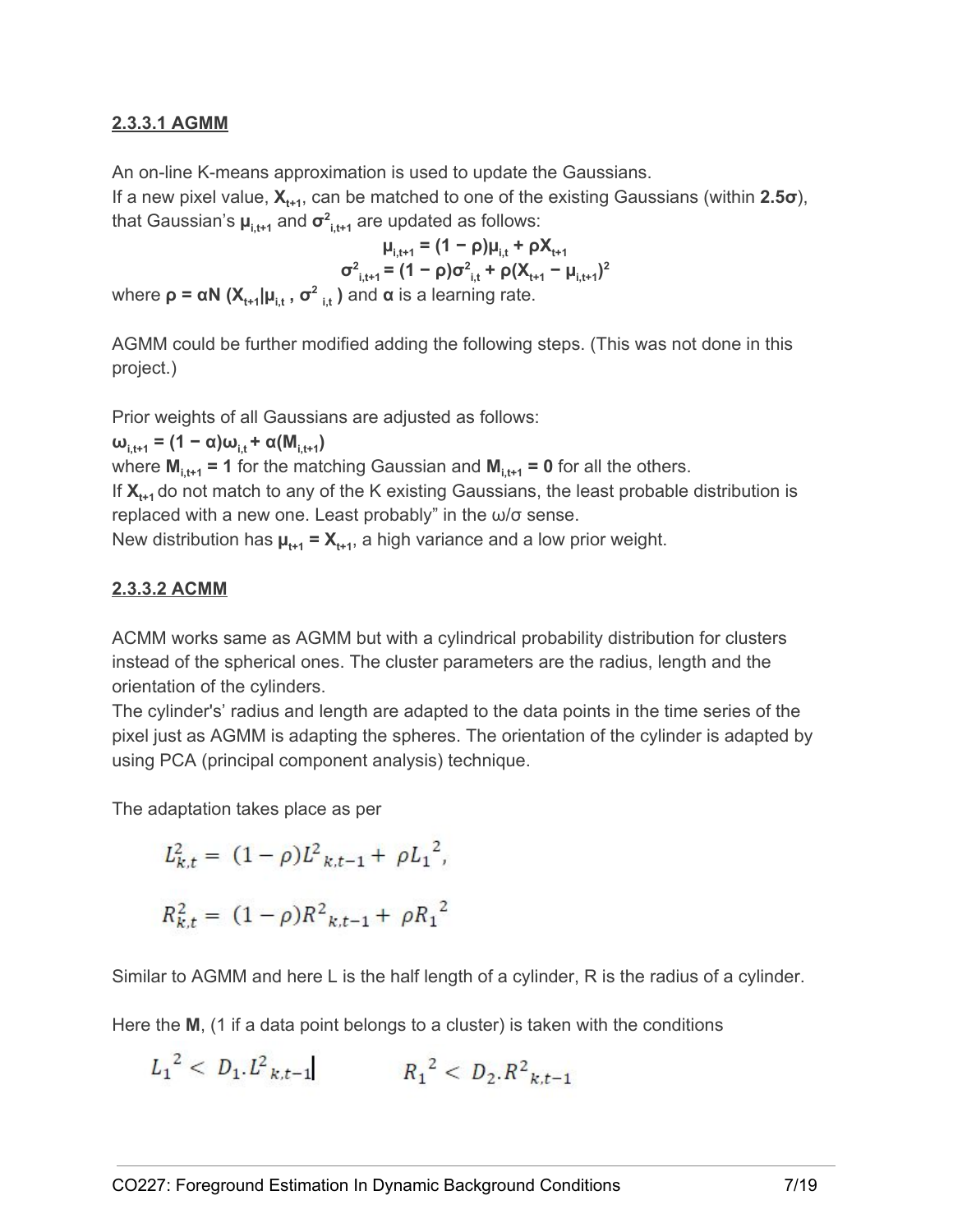## **2.3.3.1 AGMM**

An on-line K-means approximation is used to update the Gaussians.

If a new pixel value, **X<sub>t+1</sub>, can be matched to one of the existing Gaussians (within <b>2.5σ**), that Gaussian's **µ i,t+1** and **σ 2 i,t+1** are updated as follows:

**i**<sub> $\mu_{i,t+1} = (1 - \rho)\mu_{i,t} + \rho X_{t+1}$ </sub>  $\sigma^2_{i,t+1} = (1 - \rho)\sigma^2_{i,t} + \rho(X_{t+1} - \mu_{i,t+1})^2$ where  $\rho = \alpha N$  ( $X$ <sub>t+1</sub>| $\mu$ <sub>i,t</sub>,  $\sigma$ <sup>2</sup><sub>i,t</sub>) and  $\alpha$  is a learning rate.  $\mathbf{i}$ 

AGMM could be further modified adding the following steps. (This was not done in this project.)

Prior weights of all Gaussians are adjusted as follows:

**<u>i**<sub>i,t+1</sub> **=**  $(1 - \alpha)\omega_{i,t} + \alpha(M_{i,t+1})$ </u>

where **M i,t+1 = 1** for the matching Gaussian and **M i,t+1 = 0** for all the others.

If  $\mathsf{X}_{\mathsf{t}^{\mathsf{t}}\mathsf{1}}$  do not match to any of the K existing Gaussians, the least probable distribution is replaced with a new one. Least probably" in the ω/σ sense.

New distribution has  $\boldsymbol{\mu}_{t+1} = \boldsymbol{X}_{t+1}$ , a high variance and a low prior weight.

#### **2.3.3.2 ACMM**

ACMM works same as AGMM but with a cylindrical probability distribution for clusters instead of the spherical ones. The cluster parameters are the radius, length and the orientation of the cylinders.

The cylinder's' radius and length are adapted to the data points in the time series of the pixel just as AGMM is adapting the spheres. The orientation of the cylinder is adapted by using PCA (principal component analysis) technique.

The adaptation takes place as per

$$
L_{k,t}^{2} = (1 - \rho)L_{k,t-1}^{2} + \rho L_{1}^{2},
$$
  

$$
R_{k,t}^{2} = (1 - \rho)R_{k,t-1}^{2} + \rho R_{1}^{2}
$$

Similar to AGMM and here L is the half length of a cylinder, R is the radius of a cylinder.

Here the M, (1 if a data point belongs to a cluster) is taken with the conditions

 $L_1^2$  <  $D_1.L^2$ <sub>k,t-1</sub>  $R_1^2$  <  $D_2.R^2$ <sub>k,t-1</sub>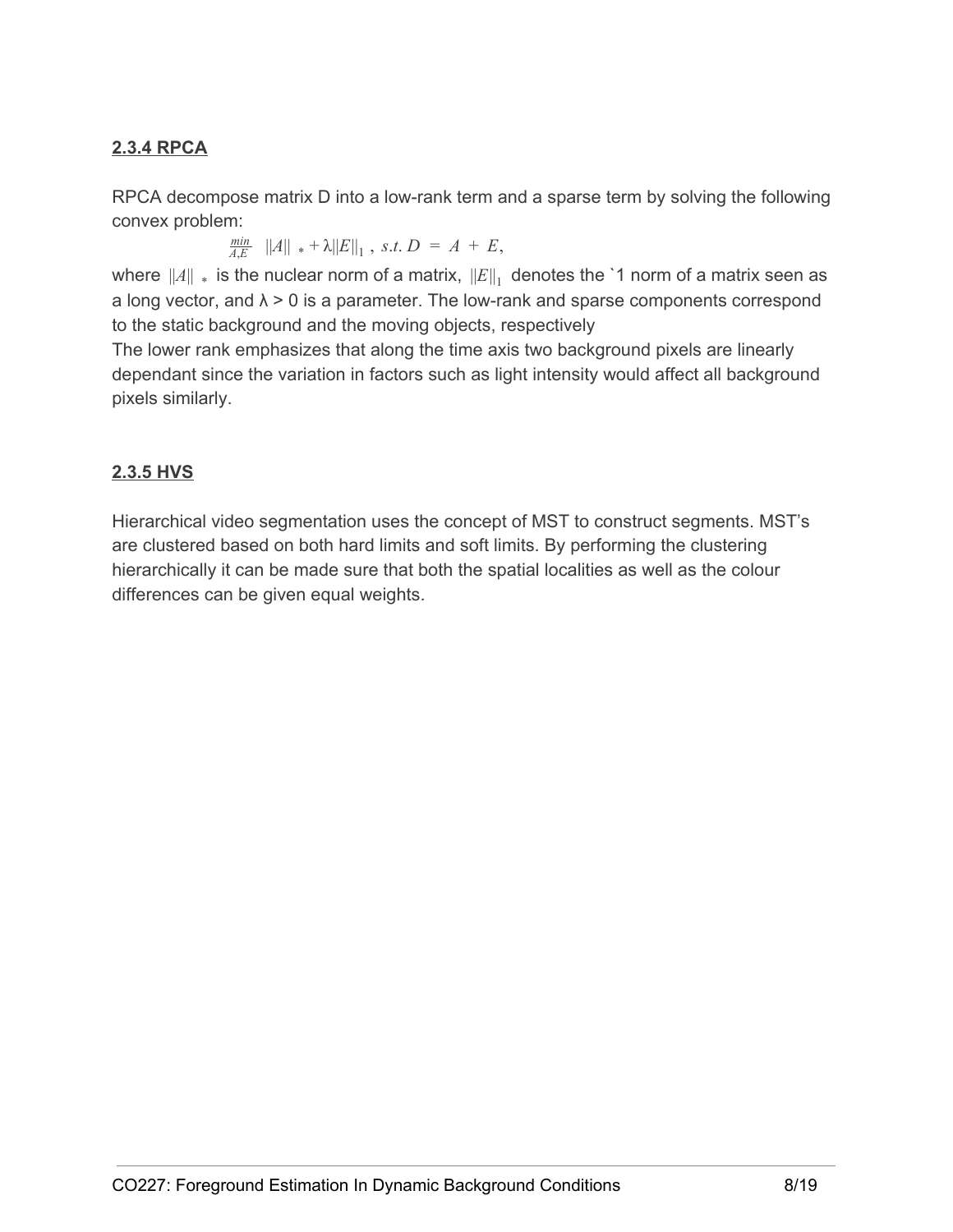# **2.3.4 RPCA**

RPCA decompose matrix D into a low-rank term and a sparse term by solving the following convex problem:

> $\frac{min}{4E}$   $||A||_* + \lambda ||E||_1$ , *s.t.*  $D = A + E$ ,  $\frac{min}{A,E}$  ||A||  $* + \lambda ||E||_1$ , *s.t.*  $D = A +$

where  $\|A\|$   $_{*}$  is the nuclear norm of a matrix,  $\left\|E\right\|_{1}$  denotes the `1 norm of a matrix seen as a long vector, and  $\lambda > 0$  is a parameter. The low-rank and sparse components correspond to the static background and the moving objects, respectively

The lower rank emphasizes that along the time axis two background pixels are linearly dependant since the variation in factors such as light intensity would affect all background pixels similarly.

# **2.3.5 HVS**

Hierarchical video segmentation uses the concept of MST to construct segments. MST's are clustered based on both hard limits and soft limits. By performing the clustering hierarchically it can be made sure that both the spatial localities as well as the colour differences can be given equal weights.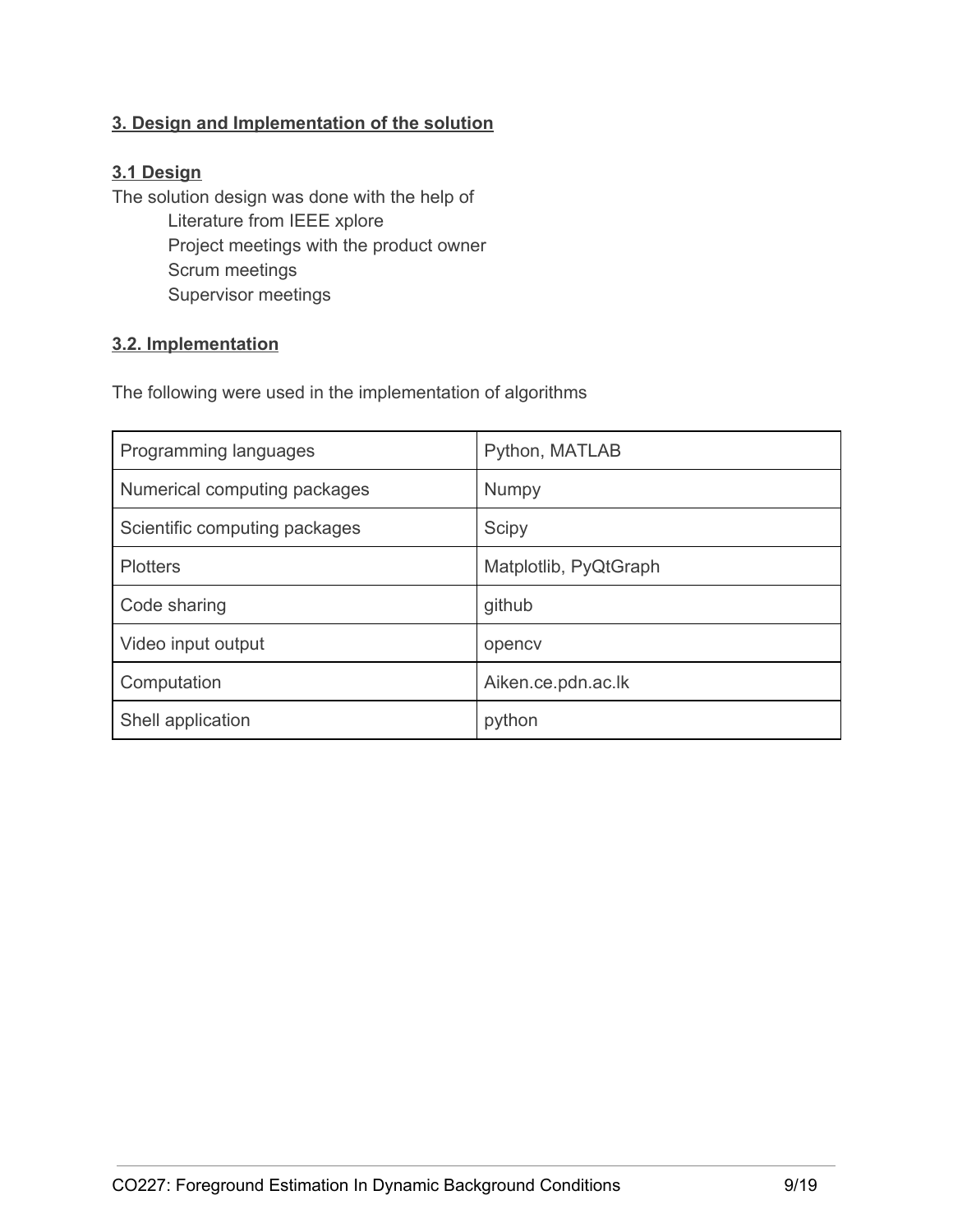# **3. Design and Implementation of the solution**

#### **3.1 Design**

The solution design was done with the help of Literature from IEEE xplore Project meetings with the product owner Scrum meetings Supervisor meetings

#### **3.2. Implementation**

The following were used in the implementation of algorithms

| Programming languages         | Python, MATLAB        |
|-------------------------------|-----------------------|
| Numerical computing packages  | <b>Numpy</b>          |
| Scientific computing packages | Scipy                 |
| <b>Plotters</b>               | Matplotlib, PyQtGraph |
| Code sharing                  | github                |
| Video input output            | opency                |
| Computation                   | Aiken.ce.pdn.ac.lk    |
| Shell application             | python                |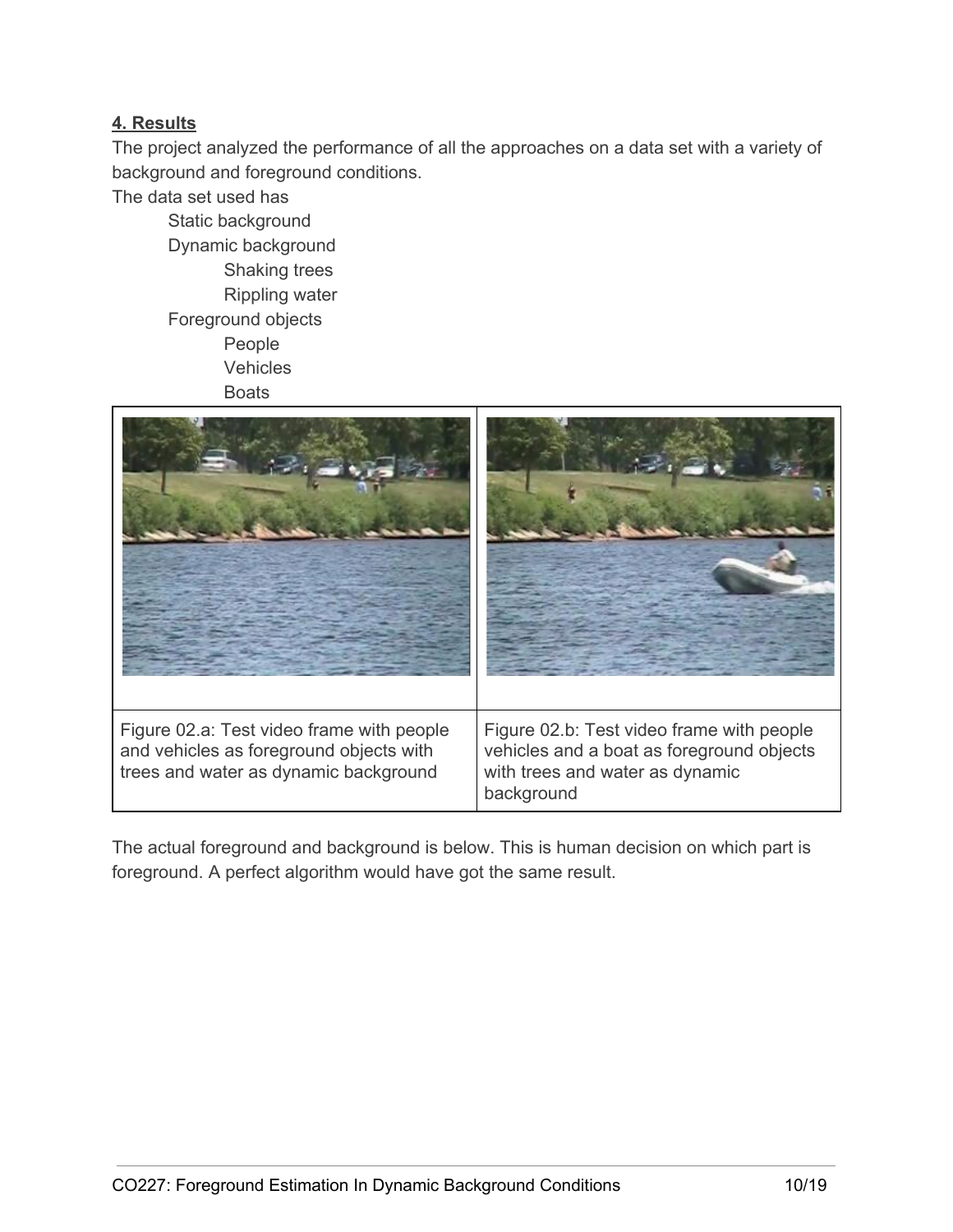# **4. Results**

The project analyzed the performance of all the approaches on a data set with a variety of background and foreground conditions.

The data set used has

Static background Dynamic background Shaking trees Rippling water Foreground objects People **Vehicles Boats** 



The actual foreground and background is below. This is human decision on which part is foreground. A perfect algorithm would have got the same result.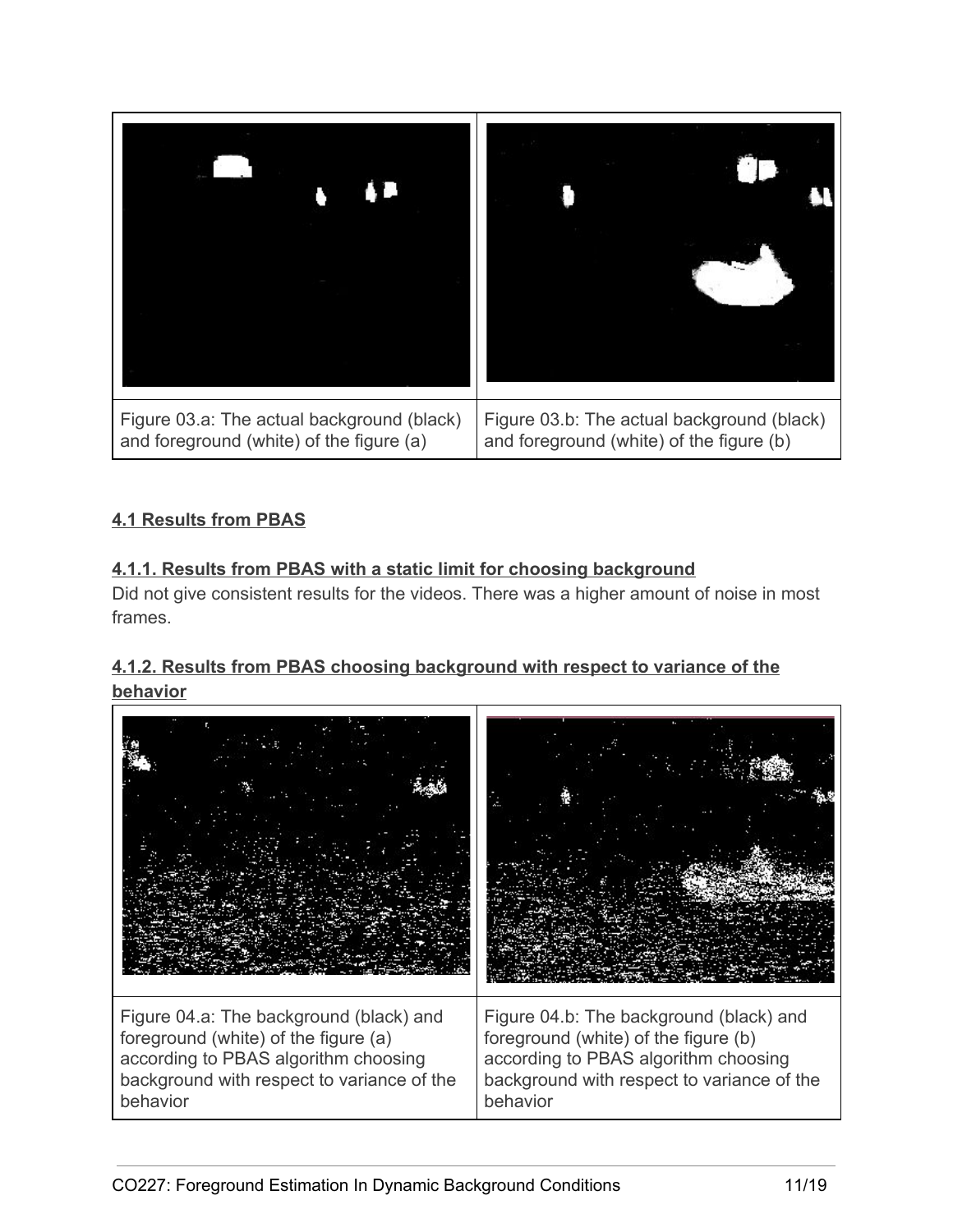

# **4.1 Results from PBAS**

# **4.1.1. Results from PBAS with a static limit for choosing background**

Did not give consistent results for the videos. There was a higher amount of noise in most frames.

# **4.1.2. Results from PBAS choosing background with respect to variance of the behavior**

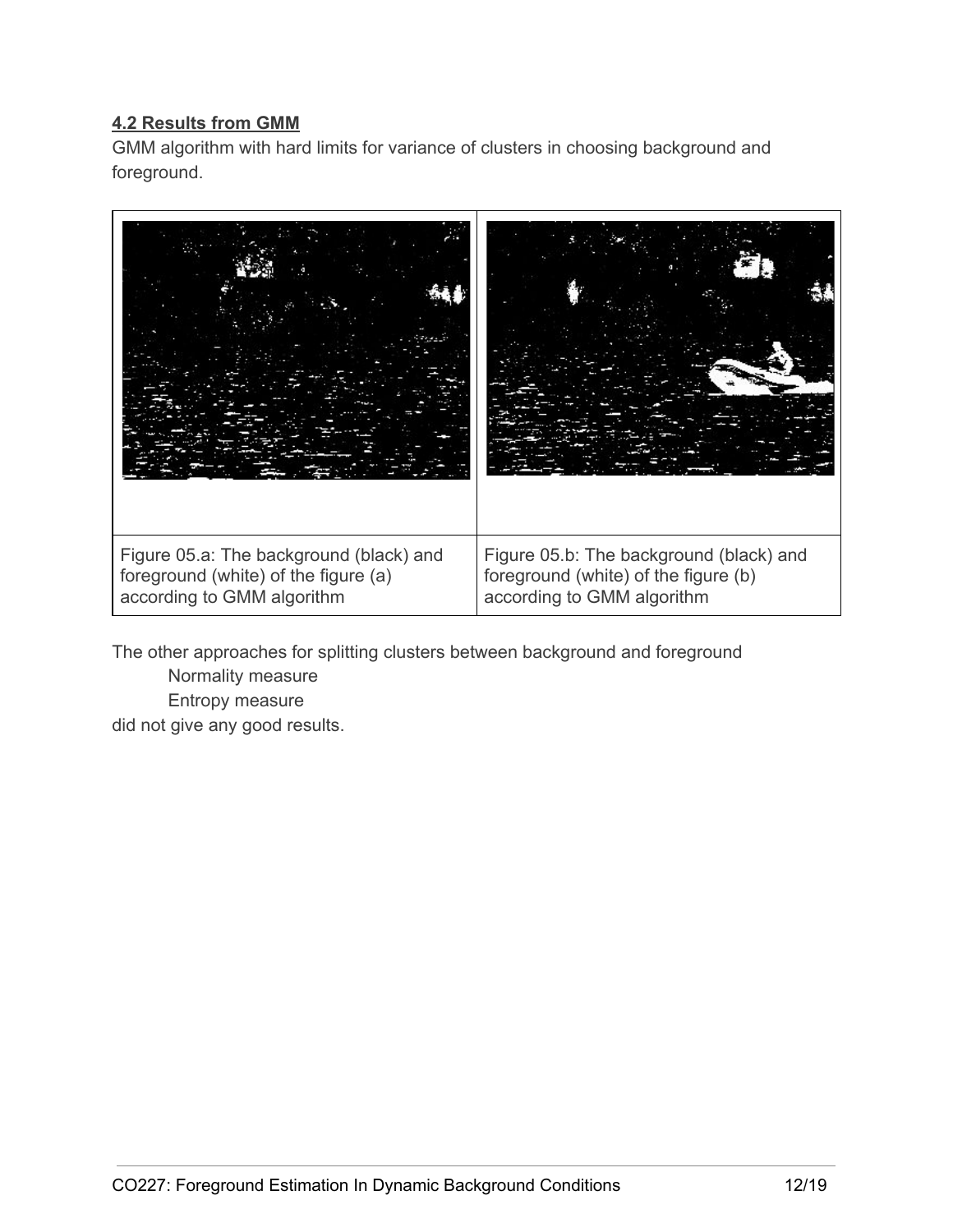# **4.2 Results from GMM**

GMM algorithm with hard limits for variance of clusters in choosing background and foreground.



The other approaches for splitting clusters between background and foreground Normality measure Entropy measure

did not give any good results.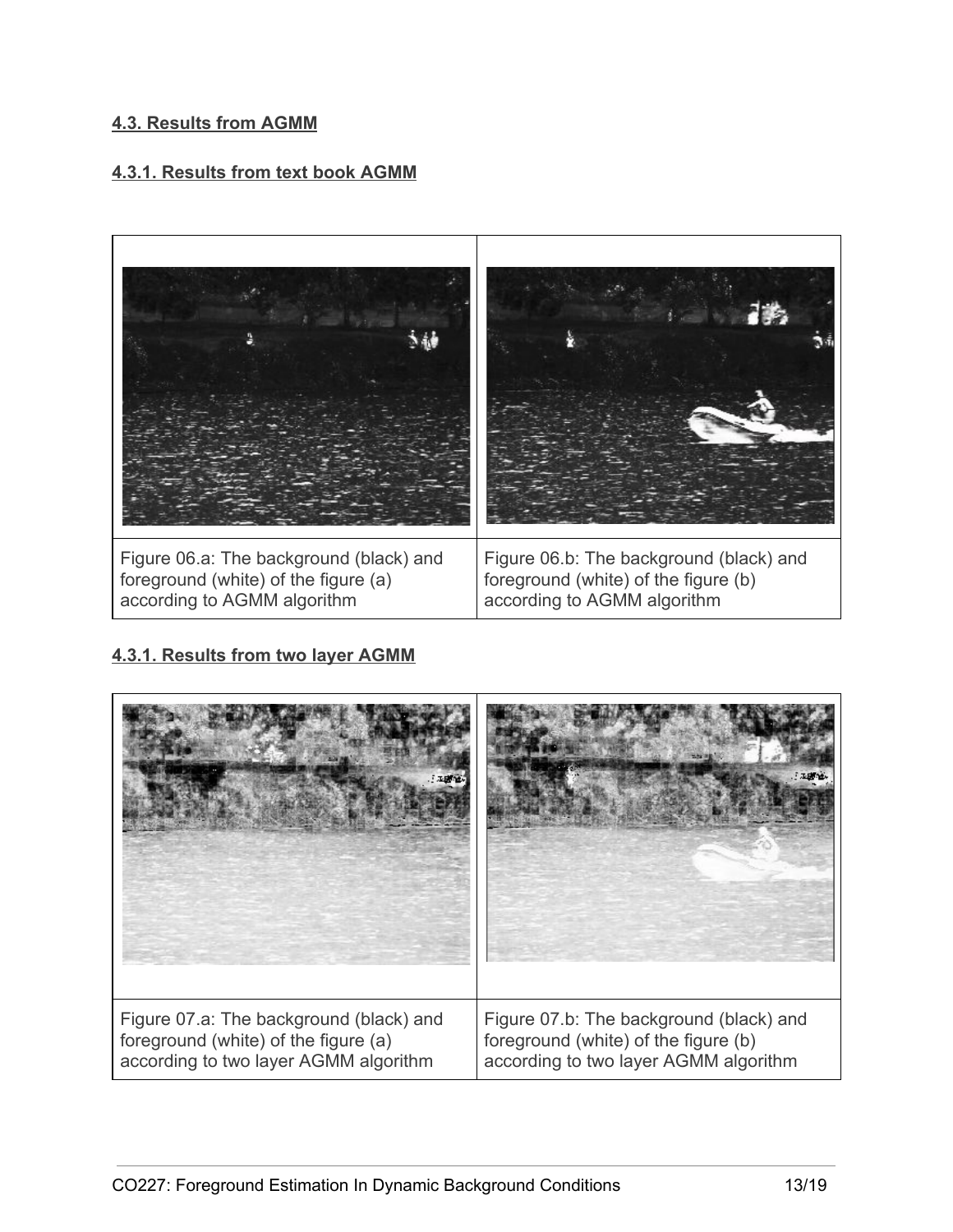#### **4.3. Results from AGMM**

#### **4.3.1. Results from text book AGMM**



## **4.3.1. Results from two layer AGMM**

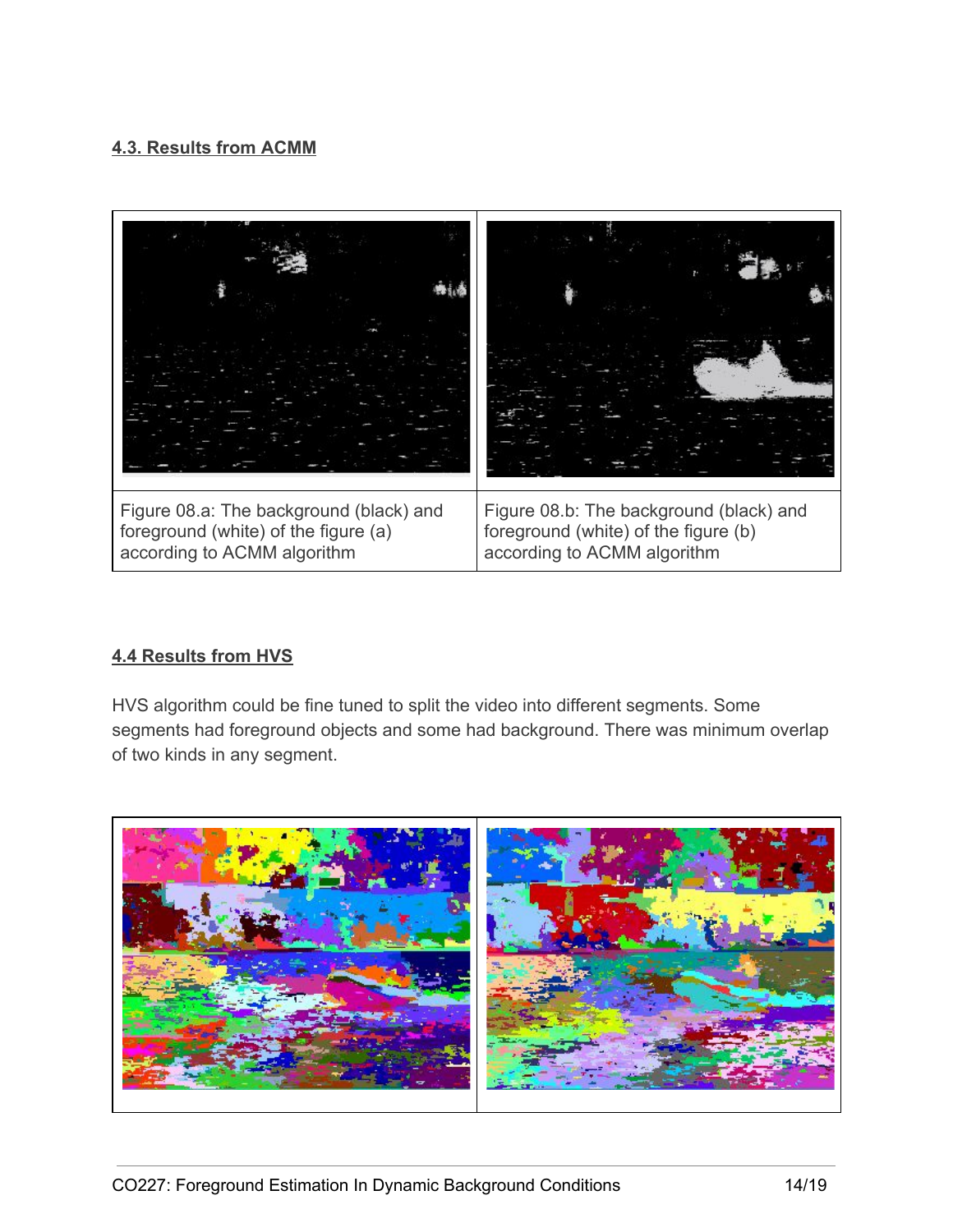# **4.3. Results from ACMM**



## **4.4 Results from HVS**

HVS algorithm could be fine tuned to split the video into different segments. Some segments had foreground objects and some had background. There was minimum overlap of two kinds in any segment.

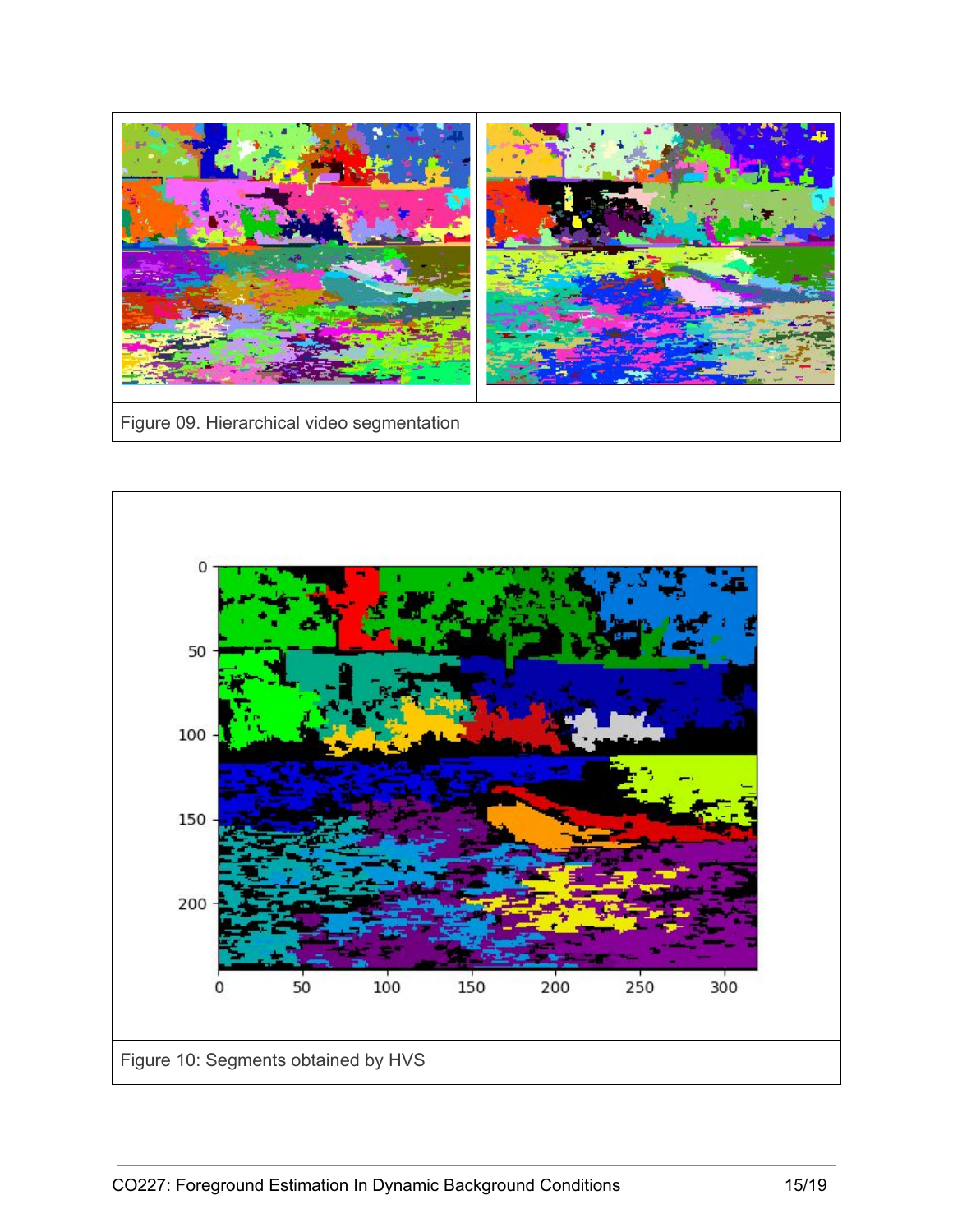

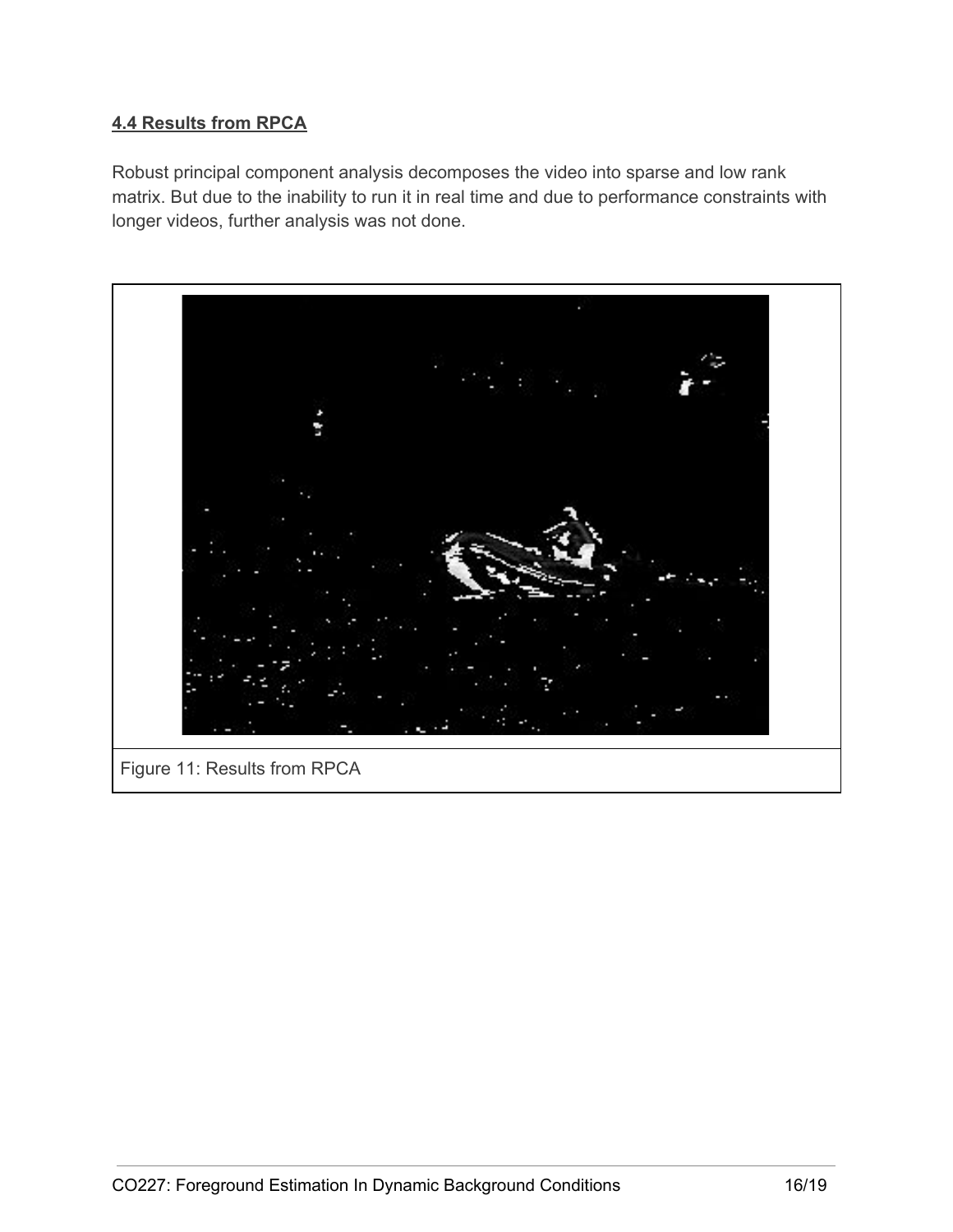# **4.4 Results from RPCA**

Robust principal component analysis decomposes the video into sparse and low rank matrix. But due to the inability to run it in real time and due to performance constraints with longer videos, further analysis was not done.

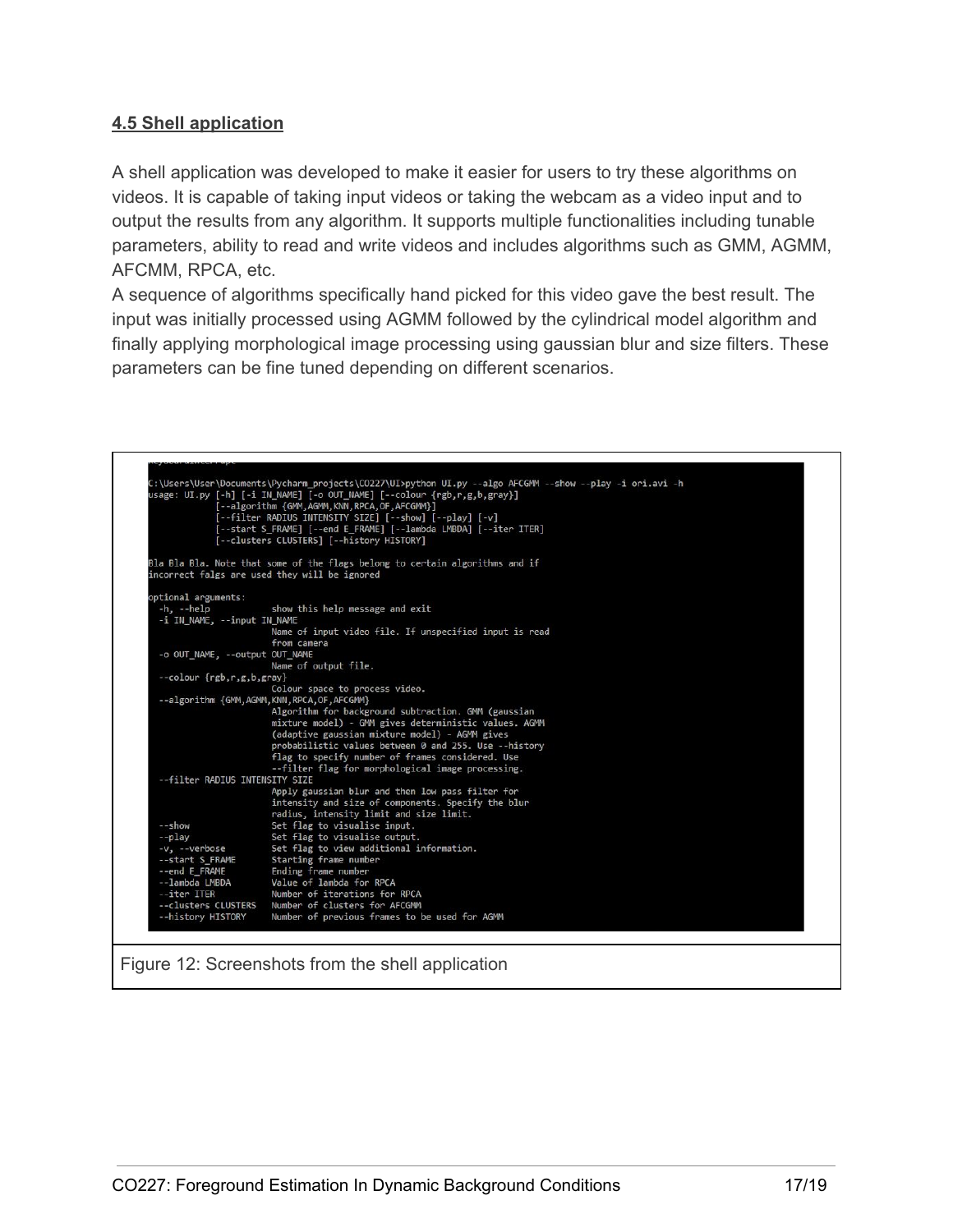# **4.5 Shell application**

A shell application was developed to make it easier for users to try these algorithms on videos. It is capable of taking input videos or taking the webcam as a video input and to output the results from any algorithm. It supports multiple functionalities including tunable parameters, ability to read and write videos and includes algorithms such as GMM, AGMM, AFCMM, RPCA, etc.

A sequence of algorithms specifically hand picked for this video gave the best result. The input was initially processed using AGMM followed by the cylindrical model algorithm and finally applying morphological image processing using gaussian blur and size filters. These parameters can be fine tuned depending on different scenarios.

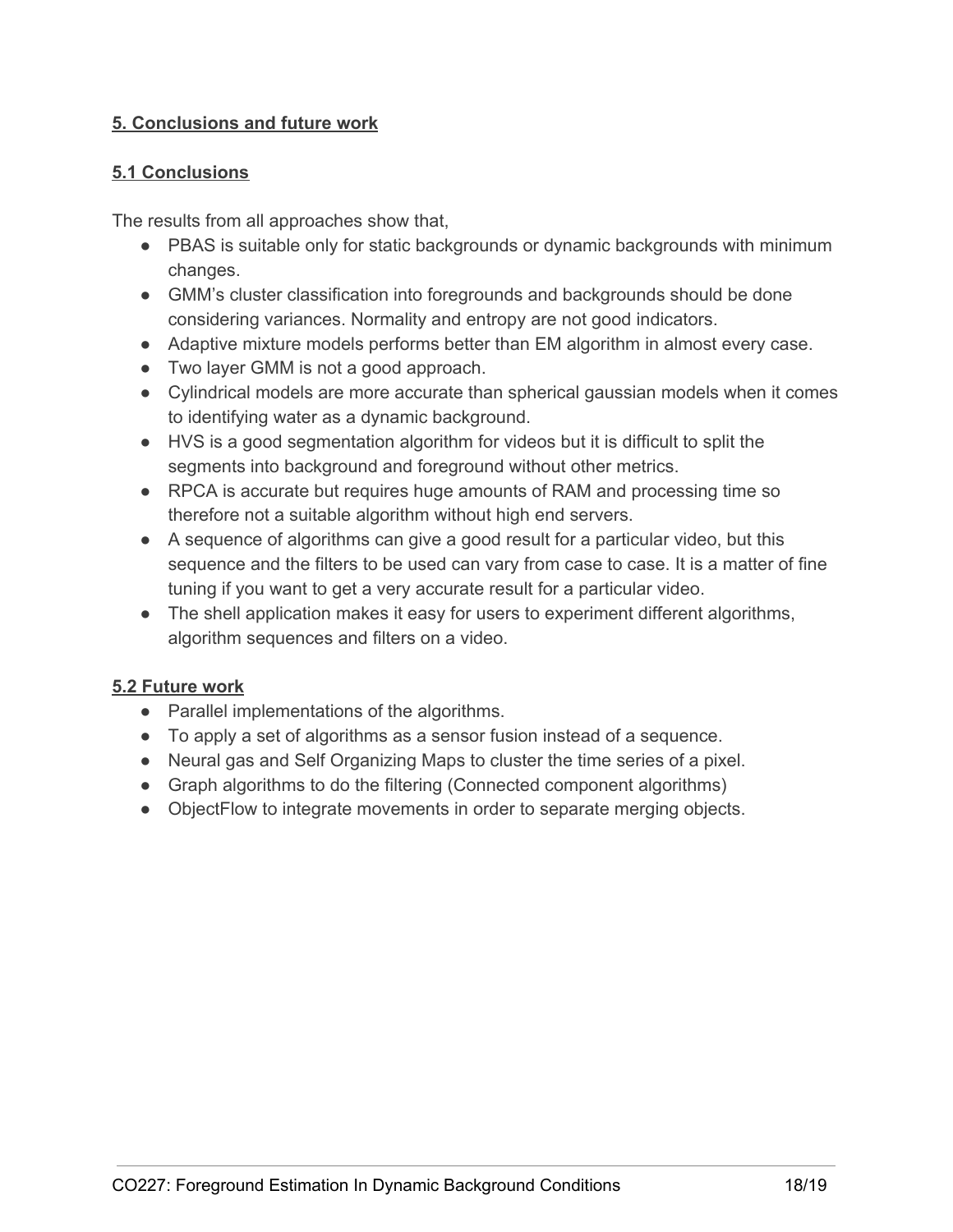# **5. Conclusions and future work**

## **5.1 Conclusions**

The results from all approaches show that,

- PBAS is suitable only for static backgrounds or dynamic backgrounds with minimum changes.
- GMM's cluster classification into foregrounds and backgrounds should be done considering variances. Normality and entropy are not good indicators.
- Adaptive mixture models performs better than EM algorithm in almost every case.
- Two layer GMM is not a good approach.
- Cylindrical models are more accurate than spherical gaussian models when it comes to identifying water as a dynamic background.
- HVS is a good segmentation algorithm for videos but it is difficult to split the segments into background and foreground without other metrics.
- RPCA is accurate but requires huge amounts of RAM and processing time so therefore not a suitable algorithm without high end servers.
- A sequence of algorithms can give a good result for a particular video, but this sequence and the filters to be used can vary from case to case. It is a matter of fine tuning if you want to get a very accurate result for a particular video.
- The shell application makes it easy for users to experiment different algorithms, algorithm sequences and filters on a video.

## **5.2 Future work**

- Parallel implementations of the algorithms.
- To apply a set of algorithms as a sensor fusion instead of a sequence.
- Neural gas and Self Organizing Maps to cluster the time series of a pixel.
- Graph algorithms to do the filtering (Connected component algorithms)
- ObjectFlow to integrate movements in order to separate merging objects.